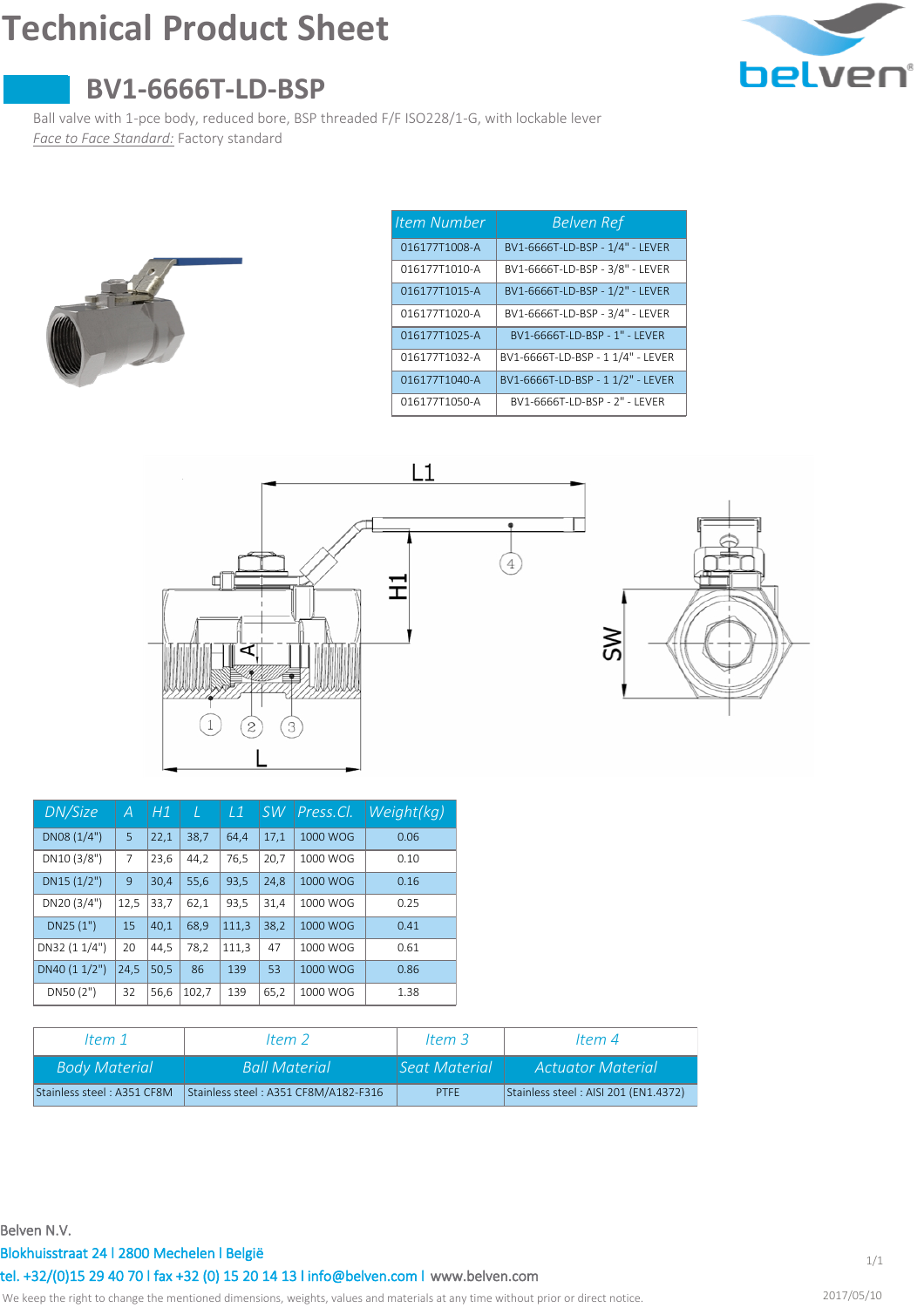# **Technical Product Sheet**



## **BV1-6666T-LD-BSP**

Ball valve with 1-pce body, reduced bore, BSP threaded F/F ISO228/1-G, with lockable lever *Face to Face Standard:* Factory standard



| Item Number   | <b>Belven Ref</b>                 |
|---------------|-----------------------------------|
| 016177T1008-A | BV1-6666T-LD-BSP - 1/4" - LEVER   |
| 016177T1010-A | BV1-6666T-LD-BSP - 3/8" - LEVER   |
| 016177T1015-A | BV1-6666T-LD-BSP - 1/2" - LEVER   |
| 016177T1020-A | BV1-6666T-LD-BSP - 3/4" - LEVER   |
| 016177T1025-A | BV1-6666T-ID-BSP - 1" - I FVFR    |
| 016177T1032-A | BV1-6666T-LD-BSP - 1 1/4" - LEVER |
| 016177T1040-A | BV1-6666T-LD-BSP - 1 1/2" - LEVER |
| 016177T1050-A | BV1-6666T-LD-BSP - 2" - LEVER     |



| DN/Size       | А    | H1   | T     | $\perp$ 1 | <b>SW</b> | Press.Cl. | Weight(kg) |
|---------------|------|------|-------|-----------|-----------|-----------|------------|
| DN08(1/4")    | 5    | 22,1 | 38,7  | 64,4      | 17.1      | 1000 WOG  | 0.06       |
| DN10 (3/8")   | 7    | 23.6 | 44,2  | 76,5      | 20,7      | 1000 WOG  | 0.10       |
| DN15(1/2")    | 9    | 30,4 | 55.6  | 93,5      | 24,8      | 1000 WOG  | 0.16       |
| DN20 (3/4")   | 12,5 | 33,7 | 62,1  | 93,5      | 31,4      | 1000 WOG  | 0.25       |
| DN25 (1")     | 15   | 40.1 | 68.9  | 111,3     | 38,2      | 1000 WOG  | 0.41       |
| DN32 (1 1/4") | 20   | 44,5 | 78,2  | 111,3     | 47        | 1000 WOG  | 0.61       |
| DN40 (1 1/2") | 24,5 | 50,5 | 86    | 139       | 53        | 1000 WOG  | 0.86       |
| DN50 (2")     | 32   | 56,6 | 102,7 | 139       | 65,2      | 1000 WOG  | 1.38       |

| ltem 1                     | Item $2$                             | Item $3$      | ltem 4                               |
|----------------------------|--------------------------------------|---------------|--------------------------------------|
| <b>Body Material</b>       | <b>Ball Material</b>                 | Seat Material | Actuator Material                    |
| Stainless steel: A351 CF8M | Stainless steel: A351 CF8M/A182-F316 | <b>PTFF</b>   | Stainless steel: AISI 201 (EN1.4372) |

#### **Belven N.V.**

### **Blokhuisstraat 24 l 2800 Mechelen l België**

**[www.belven.com](http://www.belven.com) tel. +32/(0)15 29 40 70 l fax +32 (0) 15 20 14 13 l info@belven.com l**

We keep the right to change the mentioned dimensions, weights, values and materials at any time without prior or direct notice.